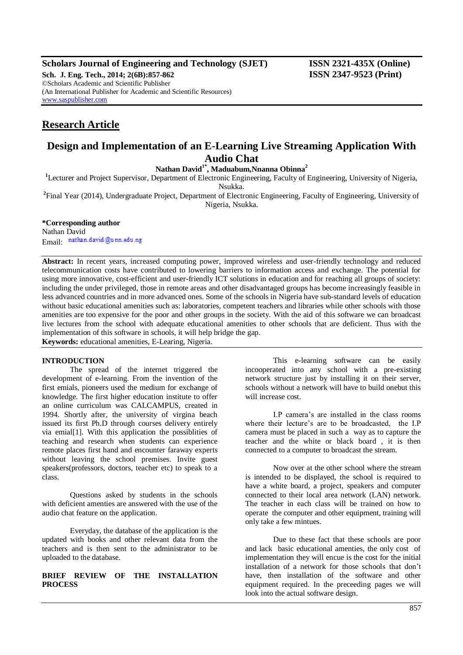# **Scholars Journal of Engineering and Technology (SJET) ISSN 2321-435X (Online)**

**Sch. J. Eng. Tech., 2014; 2(6B):857-862 ISSN 2347-9523 (Print)** ©Scholars Academic and Scientific Publisher (An International Publisher for Academic and Scientific Resources) [www.saspublisher.com](http://www.saspublisher.com/)

# **Research Article**

# **Design and Implementation of an E-Learning Live Streaming Application With Audio Chat**

**Nathan David1\* , Maduabum,Nnanna Obinna<sup>2</sup>**

<sup>1</sup>Lecturer and Project Supervisor, Department of Electronic Engineering, Faculty of Engineering, University of Nigeria, Nsukka.

**2** Final Year (2014), Undergraduate Project, Department of Electronic Engineering, Faculty of Engineering, University of Nigeria, Nsukka.

# **\*Corresponding author**

Nathan David Email nathan.david@unn.edu.ng

**Abstract:** In recent years, increased computing power, improved wireless and user-friendly technology and reduced telecommunication costs have contributed to lowering barriers to information access and exchange. The potential for using more innovative, cost-efficient and user-friendly ICT solutions in education and for reaching all groups of society: including the under privileged, those in remote areas and other disadvantaged groups has become increasingly feasible in less advanced countries and in more advanced ones. Some of the schools in Nigeria have sub-standard levels of education without basic educational amenities such as: laboratories, competent teachers and libraries while other schools with those amenities are too expensive for the poor and other groups in the society. With the aid of this software we can broadcast live lectures from the school with adequate educational amenities to other schools that are deficient. Thus with the implementation of this software in schools, it will help bridge the gap.

**Keywords:** educational amenities, E-Learing, Nigeria.

#### **INTRODUCTION**

The spread of the internet triggered the development of e-learning. From the invention of the first emials, pioneers used the medium for exchange of knowledge. The first higher education institute to offer an online curriculum was CALCAMPUS, created in 1994. Shortly after, the university of virgina beach issued its first Ph.D through courses delivery entirely via emial[1]. With this application the possiblities of teaching and research when students can experience remote places first hand and encounter faraway experts without leaving the school premises. Invite guest speakers(professors, doctors, teacher etc) to speak to a class.

Questions asked by students in the schools with deficient amenties are answered with the use of the audio chat feature on the application.

Everyday, the database of the application is the updated with books and other relevant data from the teachers and is then sent to the administrator to be uploaded to the database.

# **BRIEF REVIEW OF THE INSTALLATION PROCESS**

This e-learning software can be easily incooperated into any school with a pre-existing network structure just by installing it on their server, schools without a network will have to build onebut this will increase cost.

I.P camera's are installed in the class rooms where their lecture's are to be broadcasted, the I.P camera must be placed in such a way as to capture the teacher and the white or black board , it is then connected to a computer to broadcast the stream.

Now over at the other school where the stream is intended to be displayed, the school is required to have a white board, a project, speakers and computer connected to their local area network (LAN) network. The teacher in each class will be trained on how to operate the computer and other equipment, training will only take a few mintues.

Due to these fact that these schools are poor and lack basic educational amenties, the only cost of implementation they will encue is the cost for the initial installation of a network for those schools that don't have, then installation of the software and other equipment required. In the preceeding pages we will look into the actual software design.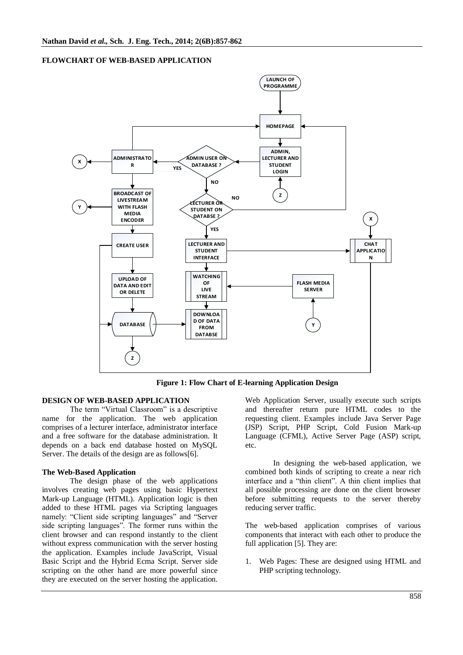## **FLOWCHART OF WEB-BASED APPLICATION**



**Figure 1: Flow Chart of E-learning Application Design**

#### **DESIGN OF WEB-BASED APPLICATION**

The term "Virtual Classroom" is a descriptive name for the application. The web application comprises of a lecturer interface, administrator interface and a free software for the database administration. It depends on a back end database hosted on MySQL Server. The details of the design are as follows[6].

#### **The Web-Based Application**

The design phase of the web applications involves creating web pages using basic Hypertext Mark-up Language (HTML). Application logic is then added to these HTML pages via Scripting languages namely: "Client side scripting languages" and "Server side scripting languages". The former runs within the client browser and can respond instantly to the client without express communication with the server hosting the application. Examples include JavaScript, Visual Basic Script and the Hybrid Ecma Script. Server side scripting on the other hand are more powerful since they are executed on the server hosting the application.

Web Application Server, usually execute such scripts and thereafter return pure HTML codes to the requesting client. Examples include Java Server Page (JSP) Script, PHP Script, Cold Fusion Mark-up Language (CFML), Active Server Page (ASP) script, etc.

In designing the web-based application, we combined both kinds of scripting to create a near rich interface and a "thin client". A thin client implies that all possible processing are done on the client browser before submitting requests to the server thereby reducing server traffic.

The web-based application comprises of various components that interact with each other to produce the full application [5]. They are:

1. Web Pages: These are designed using HTML and PHP scripting technology.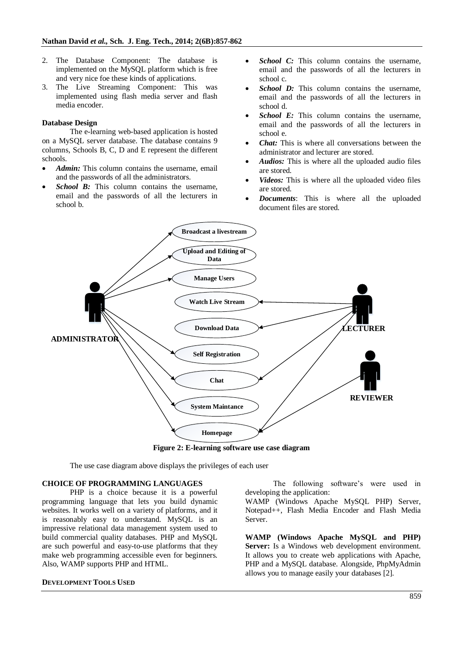- 2. The Database Component: The database is implemented on the MySQL platform which is free and very nice foe these kinds of applications.
- 3. The Live Streaming Component: This was implemented using flash media server and flash media encoder.

# **Database Design**

The e-learning web-based application is hosted on a MySQL server database. The database contains 9 columns, Schools B, C, D and E represent the different schools.

- *Admin:* This column contains the username, email and the passwords of all the administrators.
- *School B:* This column contains the username, email and the passwords of all the lecturers in school b.
- *School C:* This column contains the username, email and the passwords of all the lecturers in school c.
- *School D:* This column contains the username, email and the passwords of all the lecturers in school d.
- *School E:* This column contains the username, email and the passwords of all the lecturers in school e.
- *Chat:* This is where all conversations between the administrator and lecturer are stored.
- *Audios:* This is where all the uploaded audio files are stored.
- *Videos:* This is where all the uploaded video files are stored.
- *Documents*: This is where all the uploaded document files are stored.



**Figure 2: E-learning software use case diagram**

The use case diagram above displays the privileges of each user

# **CHOICE OF PROGRAMMING LANGUAGES**

PHP is a choice because it is a powerful programming language that lets you build dynamic websites. It works well on a variety of platforms, and it is reasonably easy to understand. MySQL is an impressive relational data management system used to build commercial quality databases. PHP and MySQL are such powerful and easy-to-use platforms that they make web programming accessible even for beginners. Also, WAMP supports PHP and HTML.

#### **DEVELOPMENT TOOLS USED**

The following software's were used in developing the application:

WAMP (Windows Apache MySQL PHP) Server, Notepad++, Flash Media Encoder and Flash Media Server.

**WAMP (Windows Apache MySQL and PHP) Server:** Is a Windows web development environment. It allows you to create web applications with Apache, PHP and a MySQL database. Alongside, PhpMyAdmin allows you to manage easily your databases [2].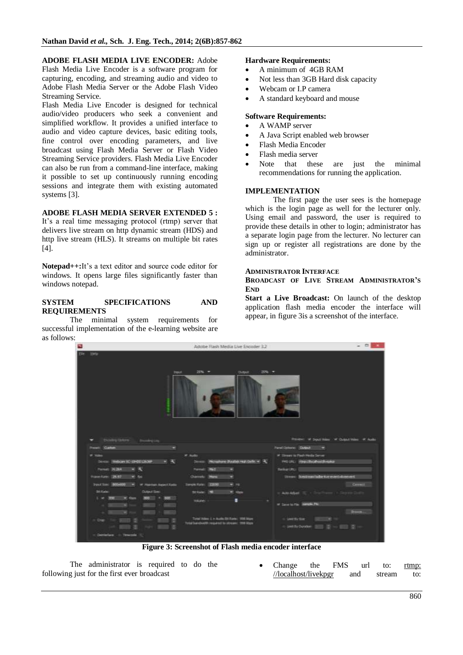**ADOBE FLASH MEDIA LIVE ENCODER:** Adobe Flash Media Live Encoder is a software program for

capturing, encoding, and streaming audio and video to Adobe Flash Media Server or the Adobe Flash Video Streaming Service.

Flash Media Live Encoder is designed for technical audio/video producers who seek a convenient and simplified workflow. It provides a unified interface to audio and video capture devices, basic editing tools, fine control over encoding parameters, and live broadcast using Flash Media Server or Flash Video Streaming Service providers. Flash Media Live Encoder can also be run from a command-line interface, making it possible to set up continuously running encoding sessions and integrate them with existing automated systems [3].

# **ADOBE FLASH MEDIA SERVER EXTENDED 5 :**

It's a real time messaging protocol (rtmp) server that delivers live stream on http dynamic stream (HDS) and http live stream (HLS). It streams on multiple bit rates [4].

**Notepad++:**It's a text editor and source code editor for windows. It opens large files significantly faster than windows notepad.

# **SYSTEM SPECIFICATIONS AND REQUIREMENTS**

The minimal system requirements for successful implementation of the e-learning website are as follows:

#### **Hardware Requirements:**

- A minimum of 4GB RAM
- Not less than 3GB Hard disk capacity
- Webcam or I.P camera
- A standard keyboard and mouse

# **Software Requirements:**

- A WAMP server
- A Java Script enabled web browser
- Flash Media Encoder
- Flash media server
- Note that these are just the minimal recommendations for running the application.

# **IMPLEMENTATION**

The first page the user sees is the homepage which is the login page as well for the lecturer only. Using email and password, the user is required to provide these details in other to login; administrator has a separate login page from the lecturer. No lecturer can sign up or register all registrations are done by the administrator.

#### **ADMINISTRATOR INTERFACE**

### **BROADCAST OF LIVE STREAM ADMINISTRATOR'S END**

**Start a Live Broadcast:** On launch of the desktop application flash media encoder the interface will appear, in figure 3is a screenshot of the interface.



**Figure 3: Screenshot of Flash media encoder interface**

The administrator is required to do the following just for the first ever broadcast

 Change the FMS url to: rtmp: //localhost/livekpgr and stream to: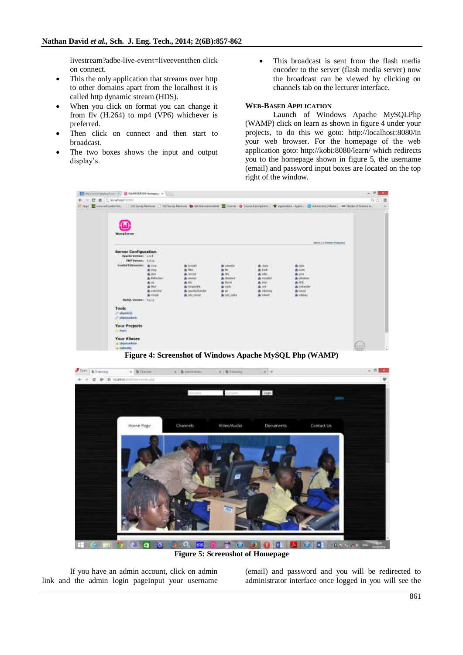livestream?adbe-live-event=liveeventthen click on connect.

- This the only application that streams over http to other domains apart from the localhost it is called http dynamic stream (HDS).
- When you click on format you can change it from flv (H.264) to mp4 (VP6) whichever is preferred.
- Then click on connect and then start to broadcast.
- The two boxes shows the input and output display's.

 This broadcast is sent from the flash media encoder to the server (flash media server) now the broadcast can be viewed by clicking on channels tab on the lecturer interface.

### **WEB-BASED APPLICATION**

Launch of Windows Apache MySQLPhp (WAMP) click on learn as shown in figure 4 under your projects, to do this we goto: http://localhost:8080/in your web browser. For the homepage of the web application goto: http://kobi:8080/learn/ which redirects you to the homepage shown in figure 5, the username (email) and password input boxes are located on the top right of the window.



**Figure 4: Screenshot of Windows Apache MySQL Php (WAMP)**



If you have an admin account, click on admin link and the admin login pageInput your username (email) and password and you will be redirected to administrator interface once logged in you will see the